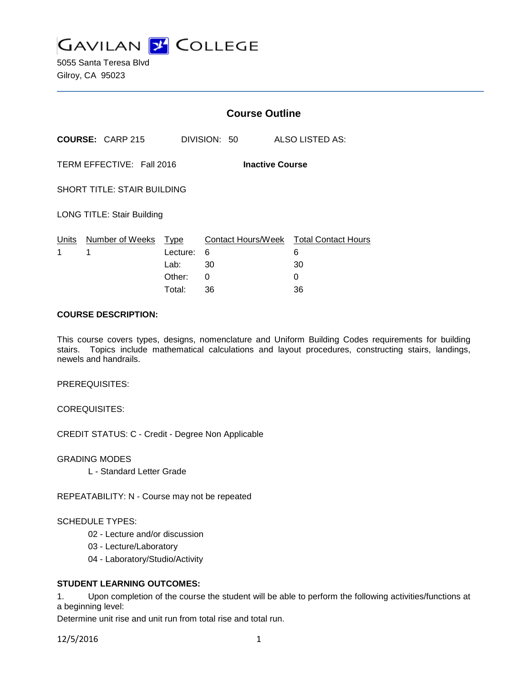

5055 Santa Teresa Blvd Gilroy, CA 95023

|                                                     |                         | <b>Course Outline</b> |              |                                             |
|-----------------------------------------------------|-------------------------|-----------------------|--------------|---------------------------------------------|
|                                                     | <b>COURSE: CARP 215</b> |                       | DIVISION: 50 | <b>ALSO LISTED AS:</b>                      |
| TERM EFFECTIVE: Fall 2016<br><b>Inactive Course</b> |                         |                       |              |                                             |
| <b>SHORT TITLE: STAIR BUILDING</b>                  |                         |                       |              |                                             |
| <b>LONG TITLE: Stair Building</b>                   |                         |                       |              |                                             |
| Units<br>1                                          | Number of Weeks<br>1    | Type<br>Lecture:      | 6            | Contact Hours/Week Total Contact Hours<br>6 |
|                                                     |                         | Lab:                  | 30           | 30                                          |
|                                                     |                         | Other:                | 0            | 0                                           |
|                                                     |                         | Total:                | 36           | 36                                          |

## **COURSE DESCRIPTION:**

This course covers types, designs, nomenclature and Uniform Building Codes requirements for building stairs. Topics include mathematical calculations and layout procedures, constructing stairs, landings, newels and handrails.

PREREQUISITES:

COREQUISITES:

CREDIT STATUS: C - Credit - Degree Non Applicable

GRADING MODES

L - Standard Letter Grade

REPEATABILITY: N - Course may not be repeated

## SCHEDULE TYPES:

- 02 Lecture and/or discussion
- 03 Lecture/Laboratory
- 04 Laboratory/Studio/Activity

## **STUDENT LEARNING OUTCOMES:**

1. Upon completion of the course the student will be able to perform the following activities/functions at a beginning level:

Determine unit rise and unit run from total rise and total run.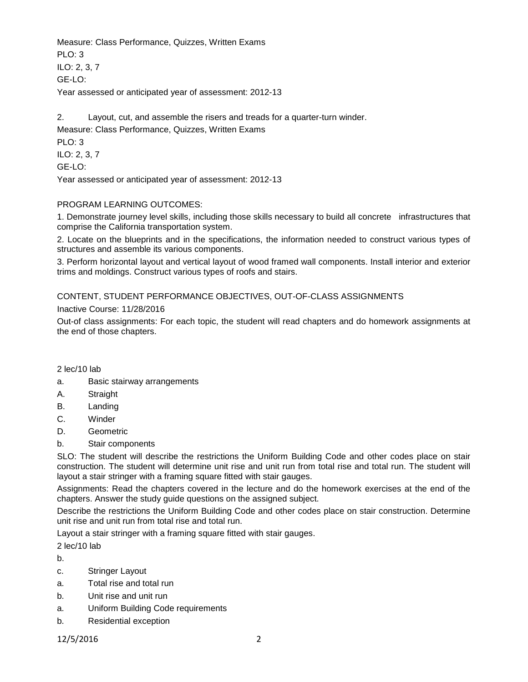Measure: Class Performance, Quizzes, Written Exams  $PLO: 3$ ILO: 2, 3, 7 GE-LO: Year assessed or anticipated year of assessment: 2012-13

2. Layout, cut, and assemble the risers and treads for a quarter-turn winder. Measure: Class Performance, Quizzes, Written Exams

PLO: 3 ILO: 2, 3, 7 GE-LO:

Year assessed or anticipated year of assessment: 2012-13

## PROGRAM LEARNING OUTCOMES:

1. Demonstrate journey level skills, including those skills necessary to build all concrete infrastructures that comprise the California transportation system.

2. Locate on the blueprints and in the specifications, the information needed to construct various types of structures and assemble its various components.

3. Perform horizontal layout and vertical layout of wood framed wall components. Install interior and exterior trims and moldings. Construct various types of roofs and stairs.

# CONTENT, STUDENT PERFORMANCE OBJECTIVES, OUT-OF-CLASS ASSIGNMENTS

## Inactive Course: 11/28/2016

Out-of class assignments: For each topic, the student will read chapters and do homework assignments at the end of those chapters.

### 2 lec/10 lab

- a. Basic stairway arrangements
- A. Straight
- B. Landing
- C. Winder
- D. Geometric
- b. Stair components

SLO: The student will describe the restrictions the Uniform Building Code and other codes place on stair construction. The student will determine unit rise and unit run from total rise and total run. The student will layout a stair stringer with a framing square fitted with stair gauges.

Assignments: Read the chapters covered in the lecture and do the homework exercises at the end of the chapters. Answer the study guide questions on the assigned subject.

Describe the restrictions the Uniform Building Code and other codes place on stair construction. Determine unit rise and unit run from total rise and total run.

Layout a stair stringer with a framing square fitted with stair gauges.

2 lec/10 lab

b.

- c. Stringer Layout
- a. Total rise and total run
- b. Unit rise and unit run
- a. Uniform Building Code requirements
- b. Residential exception

12/5/2016 2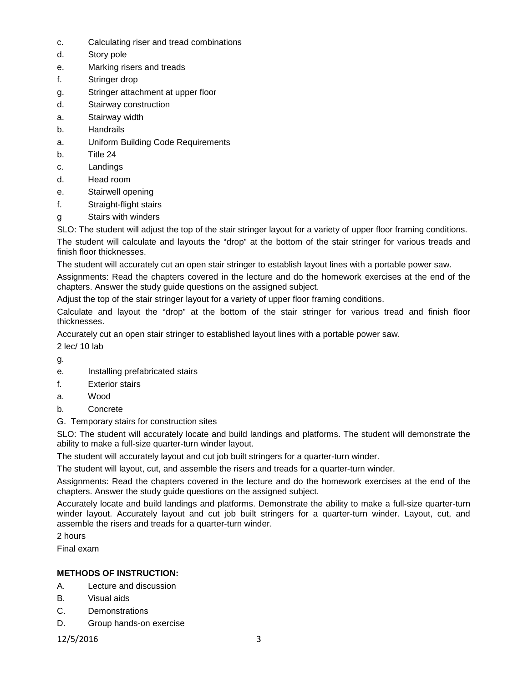- c. Calculating riser and tread combinations
- d. Story pole
- e. Marking risers and treads
- f. Stringer drop
- g. Stringer attachment at upper floor
- d. Stairway construction
- a. Stairway width
- b. Handrails
- a. Uniform Building Code Requirements
- b. Title 24
- c. Landings
- d. Head room
- e. Stairwell opening
- f. Straight-flight stairs
- g Stairs with winders

SLO: The student will adjust the top of the stair stringer layout for a variety of upper floor framing conditions.

The student will calculate and layouts the "drop" at the bottom of the stair stringer for various treads and finish floor thicknesses.

The student will accurately cut an open stair stringer to establish layout lines with a portable power saw.

Assignments: Read the chapters covered in the lecture and do the homework exercises at the end of the chapters. Answer the study guide questions on the assigned subject.

Adjust the top of the stair stringer layout for a variety of upper floor framing conditions.

Calculate and layout the "drop" at the bottom of the stair stringer for various tread and finish floor thicknesses.

Accurately cut an open stair stringer to established layout lines with a portable power saw.

2 lec/ 10 lab

g.

- e. Installing prefabricated stairs
- f. Exterior stairs
- a. Wood
- b. Concrete
- G. Temporary stairs for construction sites

SLO: The student will accurately locate and build landings and platforms. The student will demonstrate the ability to make a full-size quarter-turn winder layout.

The student will accurately layout and cut job built stringers for a quarter-turn winder.

The student will layout, cut, and assemble the risers and treads for a quarter-turn winder.

Assignments: Read the chapters covered in the lecture and do the homework exercises at the end of the chapters. Answer the study guide questions on the assigned subject.

Accurately locate and build landings and platforms. Demonstrate the ability to make a full-size quarter-turn winder layout. Accurately layout and cut job built stringers for a quarter-turn winder. Layout, cut, and assemble the risers and treads for a quarter-turn winder.

2 hours

Final exam

# **METHODS OF INSTRUCTION:**

- A. Lecture and discussion
- B. Visual aids
- C. Demonstrations
- D. Group hands-on exercise

12/5/2016 3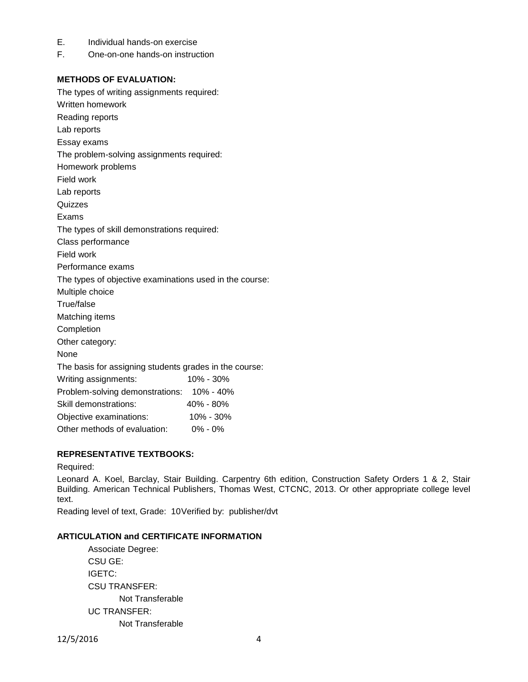- E. Individual hands-on exercise
- F. One-on-one hands-on instruction

## **METHODS OF EVALUATION:**

The types of writing assignments required: Written homework Reading reports Lab reports Essay exams The problem-solving assignments required: Homework problems Field work Lab reports Quizzes Exams The types of skill demonstrations required: Class performance Field work Performance exams The types of objective examinations used in the course: Multiple choice True/false Matching items Completion Other category: None The basis for assigning students grades in the course: Writing assignments: 10% - 30% Problem-solving demonstrations: 10% - 40% Skill demonstrations: 40% - 80% Objective examinations: 10% - 30% Other methods of evaluation: 0% - 0%

# **REPRESENTATIVE TEXTBOOKS:**

#### Required:

Leonard A. Koel, Barclay, Stair Building. Carpentry 6th edition, Construction Safety Orders 1 & 2, Stair Building. American Technical Publishers, Thomas West, CTCNC, 2013. Or other appropriate college level text.

Reading level of text, Grade: 10Verified by: publisher/dvt

## **ARTICULATION and CERTIFICATE INFORMATION**

Associate Degree: CSU GE: IGETC: CSU TRANSFER: Not Transferable UC TRANSFER: Not Transferable